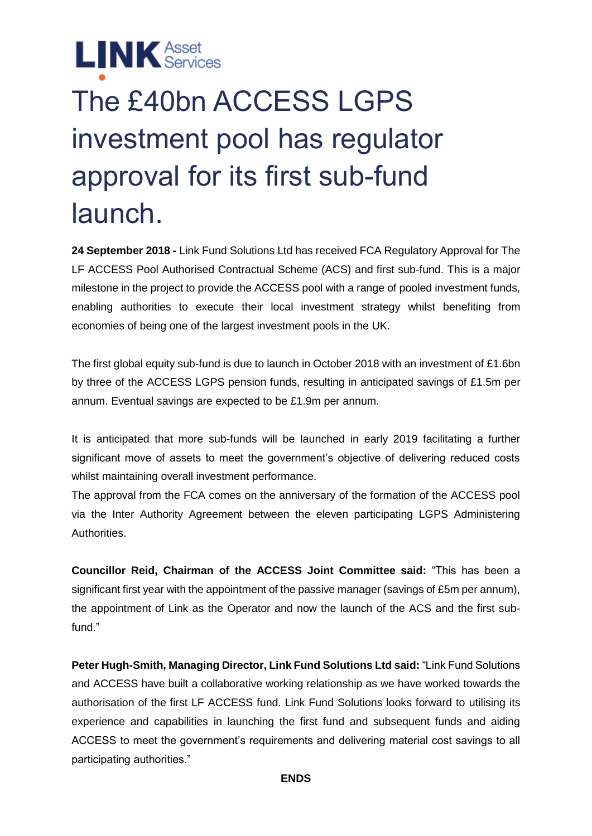**LINK** Asset

# The £40bn ACCESS LGPS investment pool has regulator approval for its first sub-fund launch.

**24 September 2018 -** Link Fund Solutions Ltd has received FCA Regulatory Approval for The LF ACCESS Pool Authorised Contractual Scheme (ACS) and first sub-fund. This is a major milestone in the project to provide the ACCESS pool with a range of pooled investment funds, enabling authorities to execute their local investment strategy whilst benefiting from economies of being one of the largest investment pools in the UK.

The first global equity sub-fund is due to launch in October 2018 with an investment of £1.6bn by three of the ACCESS LGPS pension funds, resulting in anticipated savings of £1.5m per annum. Eventual savings are expected to be £1.9m per annum.

It is anticipated that more sub-funds will be launched in early 2019 facilitating a further significant move of assets to meet the government's objective of delivering reduced costs whilst maintaining overall investment performance.

The approval from the FCA comes on the anniversary of the formation of the ACCESS pool via the Inter Authority Agreement between the eleven participating LGPS Administering Authorities.

**Councillor Reid, Chairman of the ACCESS Joint Committee said:** "This has been a significant first year with the appointment of the passive manager (savings of £5m per annum), the appointment of Link as the Operator and now the launch of the ACS and the first subfund."

**Peter Hugh-Smith, Managing Director, Link Fund Solutions Ltd said:** "Link Fund Solutions and ACCESS have built a collaborative working relationship as we have worked towards the authorisation of the first LF ACCESS fund. Link Fund Solutions looks forward to utilising its experience and capabilities in launching the first fund and subsequent funds and aiding ACCESS to meet the government's requirements and delivering material cost savings to all participating authorities."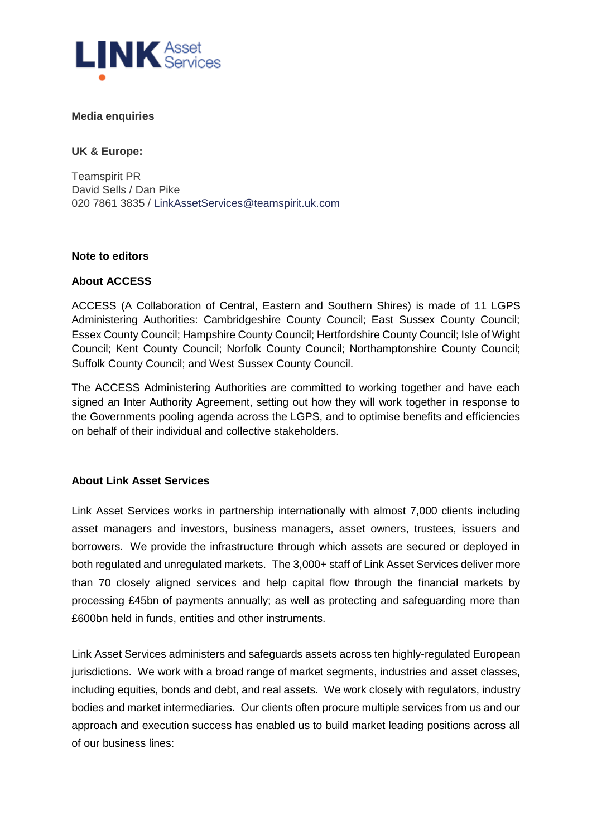

### **Media enquiries**

**UK & Europe:**

Teamspirit PR David Sells / Dan Pike 020 7861 3835 / [LinkAssetServices@teamspirit.uk.com](mailto:LinkAssetServices@teamspirit.uk.com)

#### **Note to editors**

### **About ACCESS**

ACCESS (A Collaboration of Central, Eastern and Southern Shires) is made of 11 LGPS Administering Authorities: Cambridgeshire County Council; East Sussex County Council; Essex County Council; Hampshire County Council; Hertfordshire County Council; Isle of Wight Council; Kent County Council; Norfolk County Council; Northamptonshire County Council; Suffolk County Council; and West Sussex County Council.

The ACCESS Administering Authorities are committed to working together and have each signed an Inter Authority Agreement, setting out how they will work together in response to the Governments pooling agenda across the LGPS, and to optimise benefits and efficiencies on behalf of their individual and collective stakeholders.

### **About Link Asset Services**

Link Asset Services works in partnership internationally with almost 7,000 clients including asset managers and investors, business managers, asset owners, trustees, issuers and borrowers. We provide the infrastructure through which assets are secured or deployed in both regulated and unregulated markets. The 3,000+ staff of Link Asset Services deliver more than 70 closely aligned services and help capital flow through the financial markets by processing £45bn of payments annually; as well as protecting and safeguarding more than £600bn held in funds, entities and other instruments.

Link Asset Services administers and safeguards assets across ten highly-regulated European jurisdictions. We work with a broad range of market segments, industries and asset classes, including equities, bonds and debt, and real assets. We work closely with regulators, industry bodies and market intermediaries. Our clients often procure multiple services from us and our approach and execution success has enabled us to build market leading positions across all of our business lines: